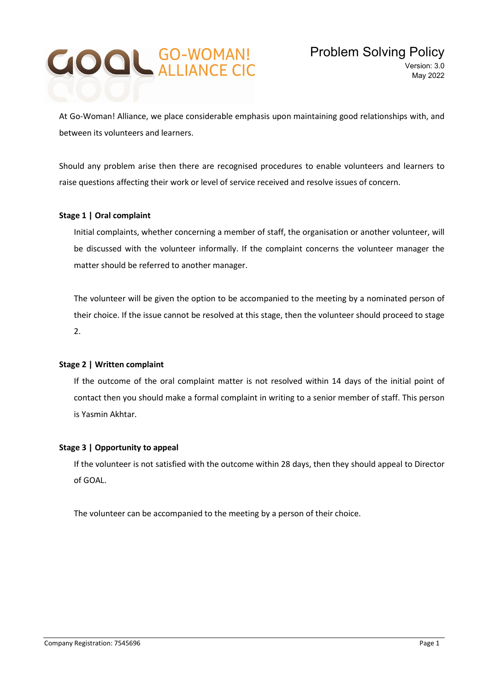# **GOOL GO-WOMAN!**

At Go-Woman! Alliance, we place considerable emphasis upon maintaining good relationships with, and between its volunteers and learners.

Should any problem arise then there are recognised procedures to enable volunteers and learners to raise questions affecting their work or level of service received and resolve issues of concern.

# Stage 1 | Oral complaint

Initial complaints, whether concerning a member of staff, the organisation or another volunteer, will be discussed with the volunteer informally. If the complaint concerns the volunteer manager the matter should be referred to another manager.

The volunteer will be given the option to be accompanied to the meeting by a nominated person of their choice. If the issue cannot be resolved at this stage, then the volunteer should proceed to stage 2.

# Stage 2 | Written complaint

If the outcome of the oral complaint matter is not resolved within 14 days of the initial point of contact then you should make a formal complaint in writing to a senior member of staff. This person is Yasmin Akhtar.

# Stage 3 | Opportunity to appeal

If the volunteer is not satisfied with the outcome within 28 days, then they should appeal to Director of GOAL.

The volunteer can be accompanied to the meeting by a person of their choice.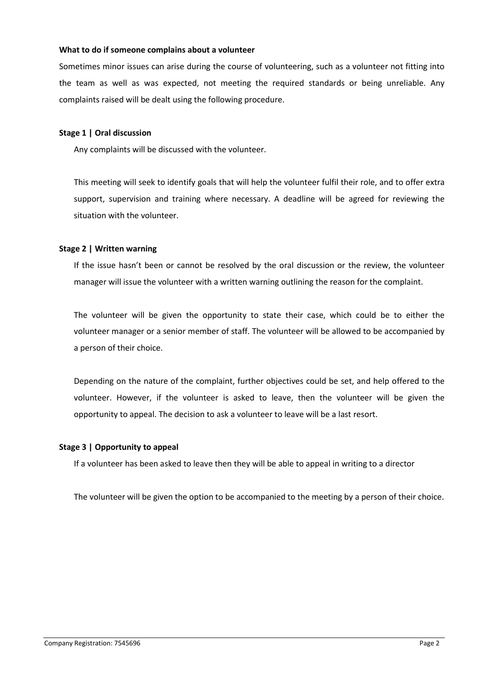#### What to do if someone complains about a volunteer

Sometimes minor issues can arise during the course of volunteering, such as a volunteer not fitting into the team as well as was expected, not meeting the required standards or being unreliable. Any complaints raised will be dealt using the following procedure.

# Stage 1 | Oral discussion

Any complaints will be discussed with the volunteer.

This meeting will seek to identify goals that will help the volunteer fulfil their role, and to offer extra support, supervision and training where necessary. A deadline will be agreed for reviewing the situation with the volunteer.

#### Stage 2 | Written warning

If the issue hasn't been or cannot be resolved by the oral discussion or the review, the volunteer manager will issue the volunteer with a written warning outlining the reason for the complaint.

The volunteer will be given the opportunity to state their case, which could be to either the volunteer manager or a senior member of staff. The volunteer will be allowed to be accompanied by a person of their choice.

Depending on the nature of the complaint, further objectives could be set, and help offered to the volunteer. However, if the volunteer is asked to leave, then the volunteer will be given the opportunity to appeal. The decision to ask a volunteer to leave will be a last resort.

#### Stage 3 | Opportunity to appeal

If a volunteer has been asked to leave then they will be able to appeal in writing to a director

The volunteer will be given the option to be accompanied to the meeting by a person of their choice.